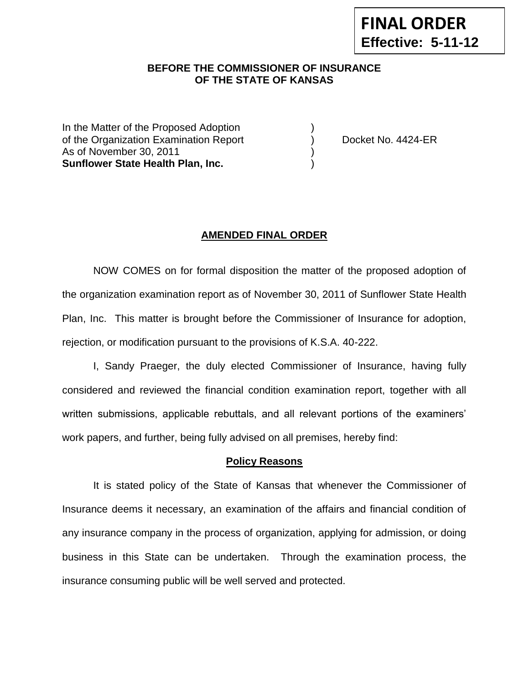### **BEFORE THE COMMISSIONER OF INSURANCE OF THE STATE OF KANSAS --12**

In the Matter of the Proposed Adoption of the Organization Examination Report (b) Docket No. 4424-ER As of November 30, 2011 **Sunflower State Health Plan, Inc.** )

### **AMENDED FINAL ORDER**

NOW COMES on for formal disposition the matter of the proposed adoption of the organization examination report as of November 30, 2011 of Sunflower State Health Plan, Inc. This matter is brought before the Commissioner of Insurance for adoption, rejection, or modification pursuant to the provisions of K.S.A. 40-222.

I, Sandy Praeger, the duly elected Commissioner of Insurance, having fully considered and reviewed the financial condition examination report, together with all written submissions, applicable rebuttals, and all relevant portions of the examiners' work papers, and further, being fully advised on all premises, hereby find:

#### **Policy Reasons**

It is stated policy of the State of Kansas that whenever the Commissioner of Insurance deems it necessary, an examination of the affairs and financial condition of any insurance company in the process of organization, applying for admission, or doing business in this State can be undertaken. Through the examination process, the insurance consuming public will be well served and protected.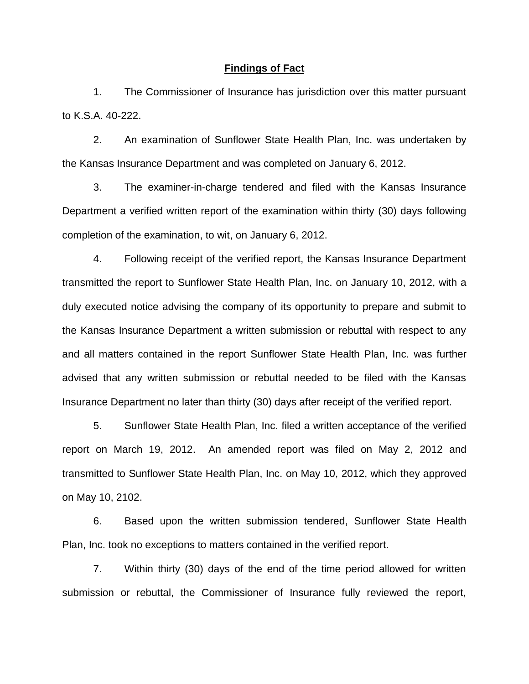#### **Findings of Fact**

1. The Commissioner of Insurance has jurisdiction over this matter pursuant to K.S.A. 40-222.

2. An examination of Sunflower State Health Plan, Inc. was undertaken by the Kansas Insurance Department and was completed on January 6, 2012.

3. The examiner-in-charge tendered and filed with the Kansas Insurance Department a verified written report of the examination within thirty (30) days following completion of the examination, to wit, on January 6, 2012.

4. Following receipt of the verified report, the Kansas Insurance Department transmitted the report to Sunflower State Health Plan, Inc. on January 10, 2012, with a duly executed notice advising the company of its opportunity to prepare and submit to the Kansas Insurance Department a written submission or rebuttal with respect to any and all matters contained in the report Sunflower State Health Plan, Inc. was further advised that any written submission or rebuttal needed to be filed with the Kansas Insurance Department no later than thirty (30) days after receipt of the verified report.

5. Sunflower State Health Plan, Inc. filed a written acceptance of the verified report on March 19, 2012. An amended report was filed on May 2, 2012 and transmitted to Sunflower State Health Plan, Inc. on May 10, 2012, which they approved on May 10, 2102.

6. Based upon the written submission tendered, Sunflower State Health Plan, Inc. took no exceptions to matters contained in the verified report.

7. Within thirty (30) days of the end of the time period allowed for written submission or rebuttal, the Commissioner of Insurance fully reviewed the report,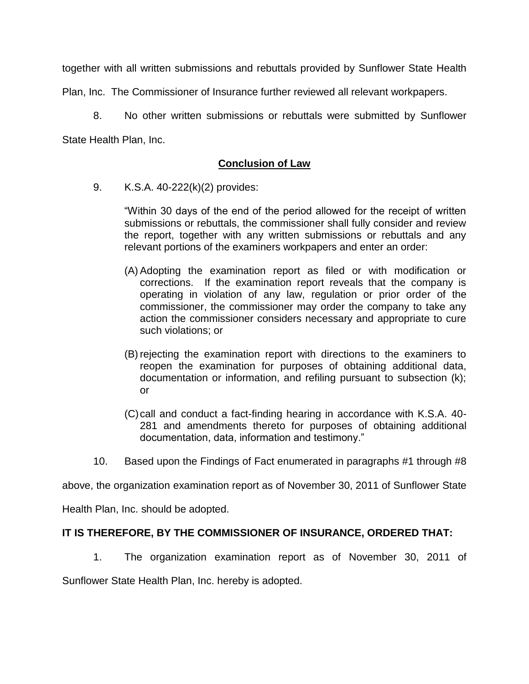together with all written submissions and rebuttals provided by Sunflower State Health

Plan, Inc. The Commissioner of Insurance further reviewed all relevant workpapers.

8. No other written submissions or rebuttals were submitted by Sunflower State Health Plan, Inc.

# **Conclusion of Law**

9. K.S.A. 40-222(k)(2) provides:

"Within 30 days of the end of the period allowed for the receipt of written submissions or rebuttals, the commissioner shall fully consider and review the report, together with any written submissions or rebuttals and any relevant portions of the examiners workpapers and enter an order:

- (A) Adopting the examination report as filed or with modification or corrections. If the examination report reveals that the company is operating in violation of any law, regulation or prior order of the commissioner, the commissioner may order the company to take any action the commissioner considers necessary and appropriate to cure such violations; or
- (B) rejecting the examination report with directions to the examiners to reopen the examination for purposes of obtaining additional data, documentation or information, and refiling pursuant to subsection (k); or
- (C)call and conduct a fact-finding hearing in accordance with K.S.A. 40- 281 and amendments thereto for purposes of obtaining additional documentation, data, information and testimony."
- 10. Based upon the Findings of Fact enumerated in paragraphs #1 through #8

above, the organization examination report as of November 30, 2011 of Sunflower State

Health Plan, Inc. should be adopted.

## **IT IS THEREFORE, BY THE COMMISSIONER OF INSURANCE, ORDERED THAT:**

1. The organization examination report as of November 30, 2011 of

Sunflower State Health Plan, Inc. hereby is adopted.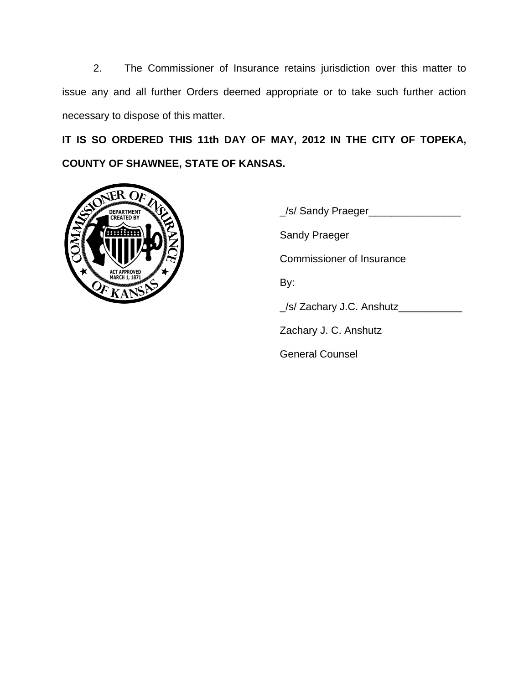2. The Commissioner of Insurance retains jurisdiction over this matter to issue any and all further Orders deemed appropriate or to take such further action necessary to dispose of this matter.

**IT IS SO ORDERED THIS 11th DAY OF MAY, 2012 IN THE CITY OF TOPEKA, COUNTY OF SHAWNEE, STATE OF KANSAS.**



\_/s/ Sandy Praeger\_\_\_\_\_\_\_\_\_\_\_\_\_\_\_\_ Sandy Praeger Commissioner of Insurance By: \_/s/ Zachary J.C. Anshutz\_\_\_\_\_\_\_\_\_\_\_ Zachary J. C. Anshutz General Counsel